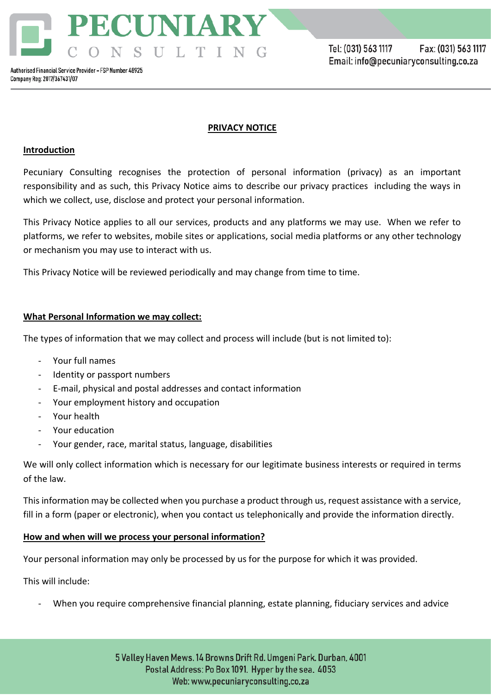PECUNIARY NSULTING

# **PRIVACY NOTICE**

## **Introduction**

Pecuniary Consulting recognises the protection of personal information (privacy) as an important responsibility and as such, this Privacy Notice aims to describe our privacy practices including the ways in which we collect, use, disclose and protect your personal information.

This Privacy Notice applies to all our services, products and any platforms we may use. When we refer to platforms, we refer to websites, mobile sites or applications, social media platforms or any other technology or mechanism you may use to interact with us.

This Privacy Notice will be reviewed periodically and may change from time to time.

# **What Personal Information we may collect:**

The types of information that we may collect and process will include (but is not limited to):

- Your full names
- Identity or passport numbers
- E-mail, physical and postal addresses and contact information
- Your employment history and occupation
- Your health
- Your education
- Your gender, race, marital status, language, disabilities

We will only collect information which is necessary for our legitimate business interests or required in terms of the law.

This information may be collected when you purchase a product through us, request assistance with a service, fill in a form (paper or electronic), when you contact us telephonically and provide the information directly.

## **How and when will we process your personal information?**

Your personal information may only be processed by us for the purpose for which it was provided.

This will include:

When you require comprehensive financial planning, estate planning, fiduciary services and advice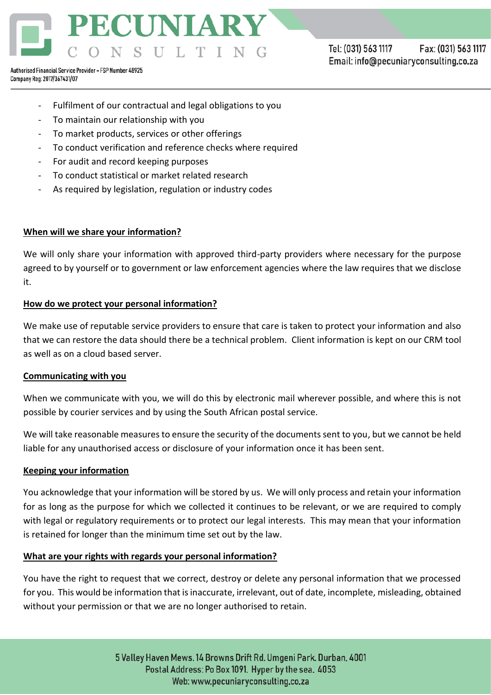

Tel: (031) 563 1117 Fax: (031) 563 1117 Email: info@pecuniaryconsulting.co.za

Authorised Financial Service Provider - FSP Number 48925 Company Reg: 2017/367431/07

- Fulfilment of our contractual and legal obligations to you
- To maintain our relationship with you
- To market products, services or other offerings
- To conduct verification and reference checks where required
- For audit and record keeping purposes
- To conduct statistical or market related research
- As required by legislation, regulation or industry codes

## **When will we share your information?**

We will only share your information with approved third-party providers where necessary for the purpose agreed to by yourself or to government or law enforcement agencies where the law requires that we disclose it.

## **How do we protect your personal information?**

We make use of reputable service providers to ensure that care is taken to protect your information and also that we can restore the data should there be a technical problem. Client information is kept on our CRM tool as well as on a cloud based server.

## **Communicating with you**

When we communicate with you, we will do this by electronic mail wherever possible, and where this is not possible by courier services and by using the South African postal service.

We will take reasonable measures to ensure the security of the documents sent to you, but we cannot be held liable for any unauthorised access or disclosure of your information once it has been sent.

## **Keeping your information**

You acknowledge that your information will be stored by us. We will only process and retain your information for as long as the purpose for which we collected it continues to be relevant, or we are required to comply with legal or regulatory requirements or to protect our legal interests. This may mean that your information is retained for longer than the minimum time set out by the law.

## **What are your rights with regards your personal information?**

You have the right to request that we correct, destroy or delete any personal information that we processed for you. This would be information that is inaccurate, irrelevant, out of date, incomplete, misleading, obtained without your permission or that we are no longer authorised to retain.

> 5 Valley Haven Mews. 14 Browns Drift Rd. Umgeni Park. Durban, 4001 Postal Address: Po Box 1091. Hyper by the sea. 4053 Web: www.pecuniaryconsulting.co.za